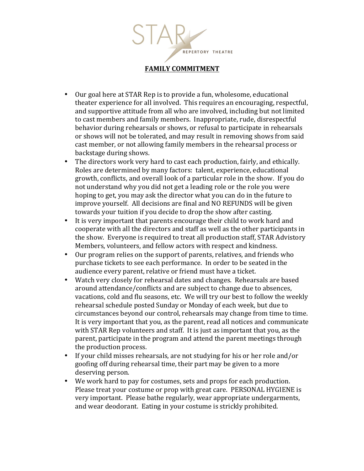

- Our goal here at STAR Rep is to provide a fun, wholesome, educational theater experience for all involved. This requires an encouraging, respectful, and supportive attitude from all who are involved, including but not limited to cast members and family members. Inappropriate, rude, disrespectful behavior during rehearsals or shows, or refusal to participate in rehearsals or shows will not be tolerated, and may result in removing shows from said cast member, or not allowing family members in the rehearsal process or backstage during shows.
- The directors work very hard to cast each production, fairly, and ethically. Roles are determined by many factors: talent, experience, educational growth, conflicts, and overall look of a particular role in the show. If you do not understand why you did not get a leading role or the role you were hoping to get, you may ask the director what you can do in the future to improve vourself. All decisions are final and NO REFUNDS will be given towards your tuition if you decide to drop the show after casting.
- It is very important that parents encourage their child to work hard and cooperate with all the directors and staff as well as the other participants in the show. Everyone is required to treat all production staff, STAR Advistory Members, volunteers, and fellow actors with respect and kindness.
- Our program relies on the support of parents, relatives, and friends who purchase tickets to see each performance. In order to be seated in the audience every parent, relative or friend must have a ticket.
- Watch very closely for rehearsal dates and changes. Rehearsals are based around attendance/conflicts and are subject to change due to absences, vacations, cold and flu seasons, etc. We will try our best to follow the weekly rehearsal schedule posted Sunday or Monday of each week, but due to circumstances beyond our control, rehearsals may change from time to time. It is very important that you, as the parent, read all notices and communicate with STAR Rep volunteers and staff. It is just as important that you, as the parent, participate in the program and attend the parent meetings through the production process.
- If your child misses rehearsals, are not studying for his or her role and/or goofing off during rehearsal time, their part may be given to a more deserving person.
- We work hard to pay for costumes, sets and props for each production. Please treat your costume or prop with great care. PERSONAL HYGIENE is very important. Please bathe regularly, wear appropriate undergarments, and wear deodorant. Eating in your costume is strickly prohibited.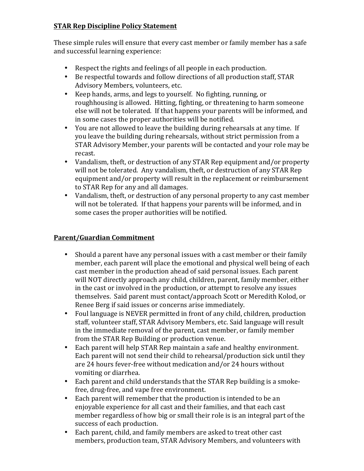## **STAR Rep Discipline Policy Statement**

These simple rules will ensure that every cast member or family member has a safe and successful learning experience:

- Respect the rights and feelings of all people in each production.
- Be respectful towards and follow directions of all production staff, STAR Advisory Members, volunteers, etc.
- Keep hands, arms, and legs to yourself. No fighting, running, or roughhousing is allowed. Hitting, fighting, or threatening to harm someone else will not be tolerated. If that happens your parents will be informed, and in some cases the proper authorities will be notified.
- You are not allowed to leave the building during rehearsals at any time. If you leave the building during rehearsals, without strict permission from a STAR Advisory Member, your parents will be contacted and your role may be recast.
- Vandalism, theft, or destruction of any STAR Rep equipment and/or property will not be tolerated. Any vandalism, theft, or destruction of any STAR Rep equipment and/or property will result in the replacement or reimbursement to STAR Rep for any and all damages.
- Vandalism, theft, or destruction of any personal property to any cast member will not be tolerated. If that happens your parents will be informed, and in some cases the proper authorities will be notified.

## **Parent/Guardian Commitment**

- Should a parent have any personal issues with a cast member or their family member, each parent will place the emotional and physical well being of each cast member in the production ahead of said personal issues. Each parent will NOT directly approach any child, children, parent, family member, either in the cast or involved in the production, or attempt to resolve any issues themselves. Said parent must contact/approach Scott or Meredith Kolod, or Renee Berg if said issues or concerns arise immediately.
- Foul language is NEVER permitted in front of any child, children, production staff, volunteer staff, STAR Advisory Members, etc. Said language will result in the immediate removal of the parent, cast member, or family member from the STAR Rep Building or production venue.
- Each parent will help STAR Rep maintain a safe and healthy environment. Each parent will not send their child to rehearsal/production sick until they are 24 hours fever-free without medication and/or 24 hours without vomiting or diarrhea.
- Each parent and child understands that the STAR Rep building is a smokefree, drug-free, and vape free environment.
- Each parent will remember that the production is intended to be an enjoyable experience for all cast and their families, and that each cast member regardless of how big or small their role is is an integral part of the success of each production.
- Each parent, child, and family members are asked to treat other cast members, production team, STAR Advisory Members, and volunteers with